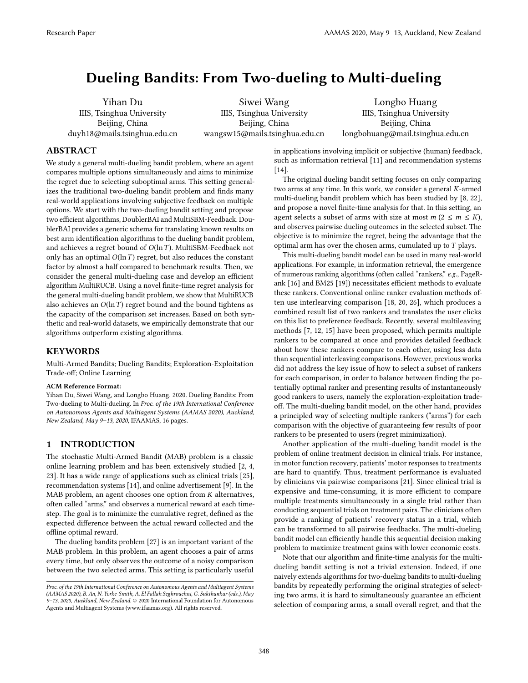# <span id="page-0-0"></span>Dueling Bandits: From Two-dueling to Multi-dueling

Yihan Du IIIS, Tsinghua University Beijing, China duyh18@mails.tsinghua.edu.cn

Siwei Wang IIIS, Tsinghua University Beijing, China wangsw15@mails.tsinghua.edu.cn

Longbo Huang IIIS, Tsinghua University Beijing, China longbohuang@mail.tsinghua.edu.cn

# ABSTRACT

We study a general multi-dueling bandit problem, where an agent compares multiple options simultaneously and aims to minimize the regret due to selecting suboptimal arms. This setting generalizes the traditional two-dueling bandit problem and finds many real-world applications involving subjective feedback on multiple options. We start with the two-dueling bandit setting and propose two efficient algorithms, DoublerBAI and MultiSBM-Feedback. DoublerBAI provides a generic schema for translating known results on best arm identification algorithms to the dueling bandit problem, and achieves a regret bound of  $O(\ln T)$ . MultiSBM-Feedback not only has an optimal  $O(\ln T)$  regret, but also reduces the constant factor by almost a half compared to benchmark results. Then, we consider the general multi-dueling case and develop an efficient algorithm MultiRUCB. Using a novel finite-time regret analysis for the general multi-dueling bandit problem, we show that MultiRUCB also achieves an  $O(\ln T)$  regret bound and the bound tightens as the capacity of the comparison set increases. Based on both synthetic and real-world datasets, we empirically demonstrate that our algorithms outperform existing algorithms.

### KEYWORDS

Multi-Armed Bandits; Dueling Bandits; Exploration-Exploitation Trade-of; Online Learning

#### ACM Reference Format:

Yihan Du, Siwei Wang, and Longbo Huang. 2020. Dueling Bandits: From Two-dueling to Multi-dueling. In Proc. of the 19th International Conference on Autonomous Agents and Multiagent Systems (AAMAS 2020), Auckland, New Zealand, May 9-13, 2020, IFAAMAS, 16 pages.

# 1 INTRODUCTION

The stochastic Multi-Armed Bandit (MAB) problem is a classic online learning problem and has been extensively studied [\[2,](#page-8-0) [4,](#page-8-1) [23\]](#page-8-2). It has a wide range of applications such as clinical trials [\[25\]](#page-8-3), recommendation systems [\[14\]](#page-8-4), and online advertisement [\[9\]](#page-8-5). In the MAB problem, an agent chooses one option from K alternatives, often called "arms," and observes a numerical reward at each timestep. The goal is to minimize the cumulative regret, defined as the expected diference between the actual reward collected and the offline optimal reward.

The dueling bandits problem [\[27\]](#page-8-6) is an important variant of the MAB problem. In this problem, an agent chooses a pair of arms every time, but only observes the outcome of a noisy comparison between the two selected arms. This setting is particularly useful in applications involving implicit or subjective (human) feedback, such as information retrieval [\[11\]](#page-8-7) and recommendation systems [\[14\]](#page-8-4).

The original dueling bandit setting focuses on only comparing two arms at any time. In this work, we consider a general K-armed multi-dueling bandit problem which has been studied by [\[8,](#page-8-8) [22\]](#page-8-9), and propose a novel finite-time analysis for that. In this setting, an agent selects a subset of arms with size at most  $m$  ( $2 \le m \le K$ ), and observes pairwise dueling outcomes in the selected subset. The objective is to minimize the regret, being the advantage that the optimal arm has over the chosen arms, cumulated up to  $T$  plays.

This multi-dueling bandit model can be used in many real-world applications. For example, in information retrieval, the emergence of numerous ranking algorithms (often called "rankers," e.g., PageR-ank [\[16\]](#page-8-10) and BM25 [\[19\]](#page-8-11)) necessitates efficient methods to evaluate these rankers. Conventional online ranker evaluation methods often use interlearving comparison [\[18,](#page-8-12) [20,](#page-8-13) [26\]](#page-8-14), which produces a combined result list of two rankers and translates the user clicks on this list to preference feedback. Recently, several multileaving methods [\[7,](#page-8-15) [12,](#page-8-16) [15\]](#page-8-17) have been proposed, which permits multiple rankers to be compared at once and provides detailed feedback about how these rankers compare to each other, using less data than sequential interleaving comparisons. However, previous works did not address the key issue of how to select a subset of rankers for each comparison, in order to balance between finding the potentially optimal ranker and presenting results of instantaneously good rankers to users, namely the exploration-exploitation tradeof. The multi-dueling bandit model, on the other hand, provides a principled way of selecting multiple rankers ("arms") for each comparison with the objective of guaranteeing few results of poor rankers to be presented to users (regret minimization).

Another application of the multi-dueling bandit model is the problem of online treatment decision in clinical trials. For instance, in motor function recovery, patients' motor responses to treatments are hard to quantify. Thus, treatment performance is evaluated by clinicians via pairwise comparisons [\[21\]](#page-8-18). Since clinical trial is expensive and time-consuming, it is more efficient to compare multiple treatments simultaneously in a single trial rather than conducting sequential trials on treatment pairs. The clinicians often provide a ranking of patients' recovery status in a trial, which can be transformed to all pairwise feedbacks. The multi-dueling bandit model can efficiently handle this sequential decision making problem to maximize treatment gains with lower economic costs.

Note that our algorithm and finite-time analysis for the multidueling bandit setting is not a trivial extension. Indeed, if one naively extends algorithms for two-dueling bandits to multi-dueling bandits by repeatedly performing the original strategies of selecting two arms, it is hard to simultaneously guarantee an efficient selection of comparing arms, a small overall regret, and that the

Proc. of the 19th International Conference on Autonomous Agents and Multiagent Systems (AAMAS 2020), B. An, N. Yorke-Smith, A. El Fallah Seghrouchni, G. Sukthankar (eds.), May 9–13, 2020, Auckland, New Zealand. © 2020 International Foundation for Autonomous Agents and Multiagent Systems (www.ifaamas.org). All rights reserved.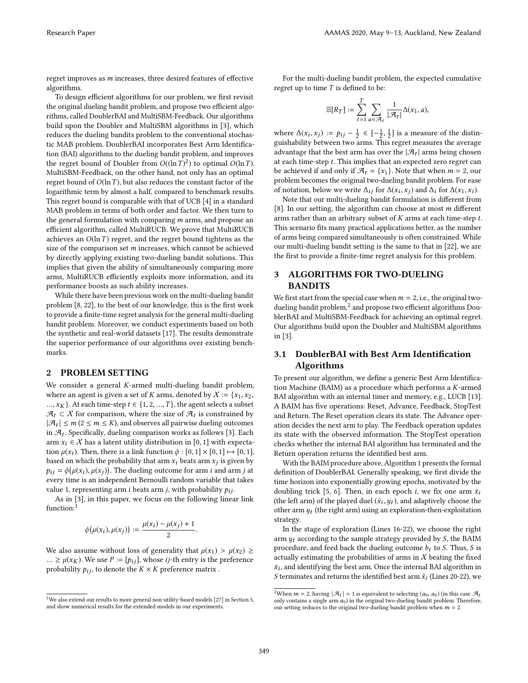regret improves as m increases, three desired features of efective algorithms.

To design efficient algorithms for our problem, we first revisit the original dueling bandit problem, and propose two efficient algorithms, called DoublerBAI and MultiSBM-Feedback. Our algorithms build upon the Doubler and MultiSBM algorithms in [\[3\]](#page-8-19), which reduces the dueling bandits problem to the conventional stochastic MAB problem. DoublerBAI incorporates Best Arm Identification (BAI) algorithms to the dueling bandit problem, and improves the regret bound of Doubler from  $O((\ln T)^2)$  to optimal  $O(\ln T)$ . MultiSBM-Feedback, on the other hand, not only has an optimal regret bound of  $O(\ln T)$ , but also reduces the constant factor of the logarithmic term by almost a half, compared to benchmark results. This regret bound is comparable with that of UCB [\[4\]](#page-8-1) in a standard MAB problem in terms of both order and factor. We then turn to the general formulation with comparing m arms, and propose an efficient algorithm, called MultiRUCB. We prove that MultiRUCB achieves an  $O(\ln T)$  regret, and the regret bound tightens as the size of the comparison set m increases, which cannot be achieved by directly applying existing two-dueling bandit solutions. This implies that given the ability of simultaneously comparing more arms, MultiRUCB efficiently exploits more information, and its performance boosts as such ability increases.

While there have been previous work on the multi-dueling bandit problem [\[8,](#page-8-8) [22\]](#page-8-9), to the best of our knowledge, this is the first work to provide a finite-time regret analysis for the general multi-dueling bandit problem. Moreover, we conduct experiments based on both the synthetic and real-world datasets [\[17\]](#page-8-20). The results demonstrate the superior performance of our algorithms over existing benchmarks.

# 2 PROBLEM SETTING

We consider a general K-armed multi-dueling bandit problem, where an agent is given a set of K arms, denoted by  $X := \{x_1, x_2,$  $..., x_K$ . At each time-step  $t \in \{1, 2, ..., T\}$ , the agent selects a subset  $\mathcal{A}_t$  ⊂  $X$  for comparison, where the size of  $\mathcal{A}_t$  is constrained by  $|\mathcal{A}_t| \leq m$  ( $2 \leq m \leq K$ ), and observes all pairwise dueling outcomes in  $\mathcal{A}_t$ . Specifically, dueling comparison works as follows [\[3\]](#page-8-19). Each arm  $x_i \in \mathcal{X}$  has a latent utility distribution in [0, 1] with expectation  $\mu(x_i)$ . Then, there is a link function  $\phi : [0, 1] \times [0, 1] \mapsto [0, 1]$ , based on which the probability that arm  $x_i$  beats arm  $x_j$  is given by  $p_{ij} = \phi(\mu(x_i), \mu(x_j))$ . The dueling outcome for arm *i* and arm *j* at every time is an independent Bernoulli random variable that takes value 1, representing arm *i* beats arm *j*, with probability  $p_{ij}$ .

As in [\[3\]](#page-8-19), in this paper, we focus on the following linear link function:<sup>[1](#page-0-0)</sup>

$$
\phi\big(\mu(x_i),\mu(x_j)\big):=\frac{\mu(x_i)-\mu(x_j)+1}{2}.
$$

We also assume without loss of generality that  $\mu(x_1) > \mu(x_2) \ge$ ...  $\geq \mu(x_K)$ . We use  $P := [p_{ij}]$ , whose *ij*-th entry is the preference probability  $p_{ij}$ , to denote the  $K \times K$  preference matrix .

For the multi-dueling bandit problem, the expected cumulative regret up to time  $T$  is defined to be:

$$
\mathbb{E}[R_T] := \sum_{t=1}^T \sum_{a \in \mathcal{A}_t} \frac{1}{|\mathcal{A}_t|} \Delta(x_1, a),
$$

where  $\Delta(x_i, x_j) := p_{ij} - \frac{1}{2} \in \left[-\frac{1}{2}, \frac{1}{2}\right]$  is a measure of the distinguishability between two arms. This regret measures the average advantage that the best arm has over the  $|\mathcal{A}_t|$  arms being chosen at each time-step t. This implies that an expected zero regret can be achieved if and only if  $\mathcal{A}_t = \{x_1\}$ . Note that when  $m = 2$ , our problem becomes the original two-dueling bandit problem. For ease of notation, below we write  $\Delta_{ij}$  for  $\Delta(x_i, x_j)$  and  $\Delta_i$  for  $\Delta(x_1, x_i)$ .

Note that our multi-dueling bandit formulation is diferent from [\[8\]](#page-8-8). In our setting, the algorithm can choose at most  $m$  different arms rather than an arbitrary subset of  $K$  arms at each time-step  $t$ . This scenario fits many practical applications better, as the number of arms being compared simultaneously is often constrained. While our multi-dueling bandit setting is the same to that in [\[22\]](#page-8-9), we are the first to provide a finite-time regret analysis for this problem.

# 3 ALGORITHMS FOR TWO-DUELING **BANDITS**

We first start from the special case when  $m = 2$ , i.e., the original twodueling bandit problem, $^2$  $^2$  and propose two efficient algorithms DoublerBAI and MultiSBM-Feedback for achieving an optimal regret. Our algorithms build upon the Doubler and MultiSBM algorithms in [\[3\]](#page-8-19).

# 3.1 DoublerBAI with Best Arm Identification Algorithms

To present our algorithm, we define a generic Best Arm Identification Machine (BAIM) as a procedure which performs a K-armed BAI algorithm with an internal timer and memory, e.g., LUCB [\[13\]](#page-8-21). A BAIM has five operations: Reset, Advance, Feedback, StopTest and Return. The Reset operation clears its state. The Advance operation decides the next arm to play. The Feedback operation updates its state with the observed information. The StopTest operation checks whether the internal BAI algorithm has terminated and the Return operation returns the identified best arm.

With the BAIM procedure above, Algorithm [1](#page-2-0) presents the formal definition of DoublerBAI. Generally speaking, we first divide the time horizon into exponentially growing epochs, motivated by the doubling trick [\[5,](#page-8-22) [6\]](#page-8-23). Then, in each epoch *i*, we fix one arm  $\bar{x}_i$ (the left arm) of the played duel  $(\bar{x}_i, y_t)$ , and adaptively choose the other arm  $y_t$  (the right arm) using an exploration-then-exploitation strategy.

In the stage of exploration (Lines 16-22), we choose the right arm  $y_t$  according to the sample strategy provided by S, the BAIM procedure, and feed back the dueling outcome  $b_t$  to S. Thus, S is actually estimating the probabilities of arms in  $X$  beating the fixed  $\bar{x}_i$  , and identifying the best arm. Once the internal BAI algorithm in S terminates and returns the identified best arm  $\hat{x}_i$  (Lines 20-22), we

<sup>&</sup>lt;sup>1</sup>We also extend our results to more general non-utility-based models [\[27\]](#page-8-6) in Section [5,](#page-5-0) and show numerical results for the extended models in our experiments.

<sup>&</sup>lt;sup>2</sup>When  $m = 2$ , having  $|\mathcal{A}_t| = 1$  is equivalent to selecting  $(a_0, a_0)$  (in this case  $\mathcal{A}_t$ only contains a single arm  $a_0$ ) in the original two-dueling bandit problem. Therefore, our setting reduces to the original two-dueling bandit problem when  $m = 2$ .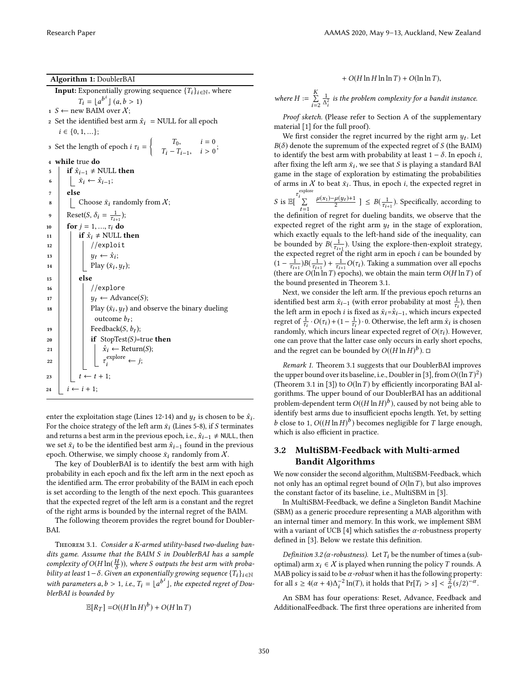<span id="page-2-0"></span>Algorithm 1: DoublerBAI **Input:** Exponentially growing sequence  $\{T_i\}_{i \in \mathbb{N}}$ , where  $T_i = \lfloor a^{b^i} \rfloor (a, b > 1)$ 1 S ← new BAIM over  $\chi$ ; 2 Set the identified best arm  $\hat{x}_i$  = NULL for all epoch  $i \in \{0, 1, ...\};$ 3 Set the length of epoch  $i \tau_i =\begin{cases} T_0, & i = 0 \ T_1 - T_1, & i > 0 \end{cases}$  $T_i - T_{i-1}, \quad i > 0$ ; <sup>4</sup> while true do 5  $\vert$  if  $\hat{x}_{i-1} \neq \text{NULL}$  then 6  $\bar{x}_i \leftarrow \hat{x}_{i-1};$ <sup>7</sup> else 8 Choose  $\bar{x}_i$  randomly from  $X$ ; 9 Reset(S,  $\delta_i = \frac{1}{\tau_{i+1}}$ ); 10  $\int$  for  $j = 1, ..., \tau_i$  do 11 **if**  $\hat{x}_i \neq \text{NULL}$  then  $12$  //exploit 13  $y_t \leftarrow \hat{x}_i;$ 14 | Play  $(\bar{x}_i, y_t)$ ;  $15$  else 16 | | //explore 17  $y_t \leftarrow \text{Advance}(S);$ 18 **Play**  $(\bar{x}_i, y_t)$  and observe the binary dueling outcome  $b_t$ ; 19 | Feedback $(S, b_t);$ 20 if  $StopTest(S)$ =true then 21  $\vert$   $\vert$   $\hat{x}_i \leftarrow$  Return(S); 22  $\vert$   $\vert$   $\vert$   $\tau$  $e^{\text{explore}} \leftarrow j;$ 23  $t \leftarrow t + 1;$ 24  $i \leftarrow i + 1;$ 

enter the exploitation stage (Lines 12-14) and  $y_t$  is chosen to be  $\hat{x}_i$ . For the choice strategy of the left arm  $\bar{x}_i$  (Lines 5-8), if S terminates and returns a best arm in the previous epoch, i.e.,  $\hat{x}_{i-1} \neq \text{NULL}$ , then we set  $\bar{x}_i$  to be the identified best arm  $\hat{x}_{i-1}$  found in the previous epoch. Otherwise, we simply choose  $\bar{x}_i$  randomly from X.

The key of DoublerBAI is to identify the best arm with high probability in each epoch and fix the left arm in the next epoch as the identified arm. The error probability of the BAIM in each epoch is set according to the length of the next epoch. This guarantees that the expected regret of the left arm is a constant and the regret of the right arms is bounded by the internal regret of the BAIM.

The following theorem provides the regret bound for Doubler-BAI.

<span id="page-2-1"></span>Theorem 3.1. Consider a K-armed utility-based two-dueling bandits game. Assume that the BAIM S in DoublerBAI has a sample complexity of  $O(H \ln(\frac{H}{\delta}))$ , where S outputs the best arm with probability at least  $1-\delta$ . Given an exponentially growing sequence  $\{T_i\}_{i\in\mathbb{N}}$ with parameters a,  $b > 1$ , i.e.,  $T_i = \lfloor a^{b^i} \rfloor$ , the expected regret of DoublerBAI is bounded by

$$
\mathbb{E}[R_T] = O((H \ln H)^b) + O(H \ln T)
$$

+  $O(H \ln H \ln \ln T)$  +  $O(\ln \ln T)$ ,

where  $H := \sum_{i=1}^{K}$  $i=2$  $\frac{1}{\Delta_i^2}$  is the problem complexity for a bandit instance.

Proof sketch. (Please refer to Section A of the supplementary material [\[1\]](#page-8-24) for the full proof).

We first consider the regret incurred by the right arm  $y_t$ . Let  $B(\delta)$  denote the supremum of the expected regret of S (the BAIM) to identify the best arm with probability at least  $1 - \delta$ . In epoch *i*, after fixing the left arm  $\bar{x}_i$ , we see that  $S$  is playing a standard BAI game in the stage of exploration by estimating the probabilities of arms in  $X$  to beat  $\bar{x}_i$ . Thus, in epoch *i*, the expected regret in

S is  $\mathbb{E} \left[ \sum_{i=1}^{\tau_i^{\text{explore}} }$  $t=1$  $\frac{\mu(x_1) - \mu(y_t) + 1}{2}$  ] ≤  $B(\frac{1}{\tau_{i+1}})$ . Specifically, according to the definition of regret for dueling bandits, we observe that the expected regret of the right arm  $y_t$  in the stage of exploration, which exactly equals to the left-hand side of the inequality, can be bounded by  $B(\frac{1}{\tau_{i+1}})$ . Using the explore-then-exploit strategy, the expected regret of the right arm in epoch  $i$  can be bounded by  $(1 - \frac{1}{\tau_{i+1}})B(\frac{1}{\tau_{i+1}}) + \frac{1}{\tau_{i+1}}O(\tau_i)$ . Taking a summation over all epochs (there are  $O(\ln \ln T)$  epochs), we obtain the main term  $O(H \ln T)$  of the bound presented in Theorem [3.1.](#page-2-1)

Next, we consider the left arm. If the previous epoch returns an identified best arm  $\hat{x}_{i-1}$  (with error probability at most  $\frac{1}{\tau_i}$ ), then the left arm in epoch i is fixed as  $\bar{x}_i = \hat{x}_{i-1}$ , which incurs expected regret of  $\frac{1}{\tau_i} \cdot O(\tau_i) + (1 - \frac{1}{\tau_i}) \cdot 0$ . Otherwise, the left arm  $\bar{x}_i$  is chosen randomly, which incurs linear expected regret of  $O(\tau_i)$ . However, one can prove that the latter case only occurs in early short epochs, and the regret can be bounded by  $O((H \ln H)^b)$ .  $\Box$ 

Remark 1. Theorem [3.1](#page-2-1) suggests that our DoublerBAI improves the upper bound over its baseline, i.e., Doubler in [\[3\]](#page-8-19), from  $O((\ln T)^2)$ (Theorem 3.1 in [\[3\]](#page-8-19)) to  $O(\ln T)$  by efficiently incorporating BAI algorithms. The upper bound of our DoublerBAI has an additional problem-dependent term  $O((H \ln H)^b)$ , caused by not being able to identify best arms due to insufficient epochs length. Yet, by setting b close to 1,  $O((H \ln H)^b)$  becomes negligible for T large enough, which is also efficient in practice.

# 3.2 MultiSBM-Feedback with Multi-armed Bandit Algorithms

We now consider the second algorithm, MultiSBM-Feedback, which not only has an optimal regret bound of  $O(\ln T)$ , but also improves the constant factor of its baseline, i.e., MultiSBM in [\[3\]](#page-8-19).

In MultiSBM-Feedback, we define a Singleton Bandit Machine (SBM) as a generic procedure representing a MAB algorithm with an internal timer and memory. In this work, we implement SBM with a variant of UCB [\[4\]](#page-8-1) which satisfies the  $\alpha$ -robustness property defined in [\[3\]](#page-8-19). Below we restate this definition.

Definition 3.2 ( $\alpha$ -robustness). Let  $T_i$  be the number of times a (suboptimal) arm  $x_i \in \mathcal{X}$  is played when running the policy T rounds. A MAB policy is said to be  $\alpha$ -robust when it has the following property: for all  $s \ge 4(\alpha + 4)\Delta_i^{-2} \ln(T)$ , it holds that  $Pr[T_i > s] < \frac{2}{\alpha}(s/2)^{-\alpha}$ .

An SBM has four operations: Reset, Advance, Feedback and AdditionalFeedback. The first three operations are inherited from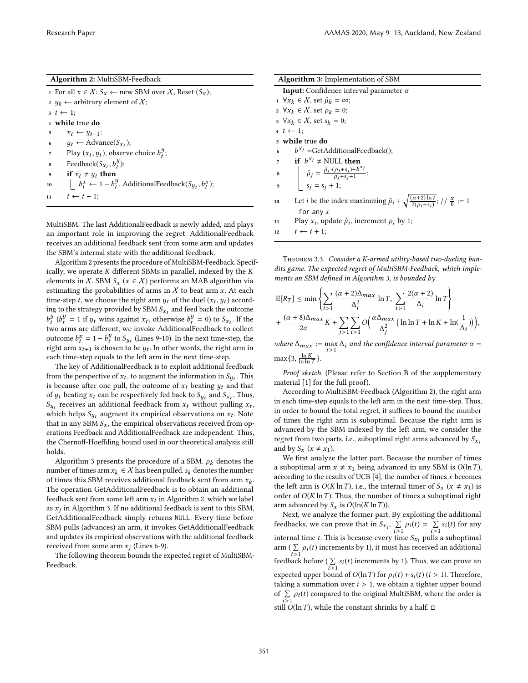#### Algorithm 2: MultiSBM-Feedback

<span id="page-3-0"></span>1 For all  $x \in \mathcal{X}$ :  $S_x$  ← new SBM over  $\mathcal{X}$ , Reset  $(S_x)$ ; 2  $y_0 \leftarrow$  arbitrary element of X;  $t \leftarrow 1$ ; <sup>4</sup> while true do  $5 \mid x_t \leftarrow y_{t-1};$ 6  $y_t \leftarrow \text{Advance}(S_{x_t});$  $\eta$  Play  $(x_t, y_t)$ , observe choice  $b_t^y$ ;  $\begin{array}{c} \mathbf{8} \end{array}$  Feedback $(S_{x_t}, b_t^y);$ 9 if  $x_t \neq y_t$  then 10  $\left[\begin{array}{cc} b_i^x & -1 - b_i^y \end{array}\right]$  AdditionalFeedback $(S_{y_t}, b_t^x)$ ; 11  $t \leftarrow t + 1$ ;

MultiSBM. The last AdditionalFeedback is newly added, and plays an important role in improving the regret. AdditionalFeedback receives an additional feedback sent from some arm and updates the SBM's internal state with the additional feedback.

Algorithm [2](#page-3-0) presents the procedure of MultiSBM-Feedback. Specifically, we operate  $K$  different SBMs in parallel, indexed by the  $K$ elements in X. SBM  $S_x$  ( $x \in X$ ) performs an MAB algorithm via estimating the probabilities of arms in  $X$  to beat arm x. At each time-step  $t$ , we choose the right arm  $y_t$  of the duel  $(x_t, y_t)$  according to the strategy provided by SBM  $S_{x_t}$  and feed back the outcome  $b_t^y(b_t^y = 1$  if  $y_t$  wins against  $x_t$ , otherwise  $b_t^y = 0$ ) to  $S_{x_t}$ . If the two arms are diferent, we invoke AdditionalFeedback to collect outcome  $b_t^x = 1 - b_t^y$  to  $S_{y_t}$  (Lines 9-10). In the next time-step, the right arm  $x_{t+1}$  is chosen to be  $y_t$ . In other words, the right arm in each time-step equals to the left arm in the next time-step.

The key of AdditionalFeedback is to exploit additional feedback from the perspective of  $x_t$ , to augment the information in  $S_{y_t}.$  This is because after one pull, the outcome of  $x_t$  beating  $y_t$  and that of  $y_t$  beating  $x_t$  can be respectively fed back to  $S_{y_t}$  and  $S_{x_t}$ . Thus,  $S_{y_t}$  receives an additional feedback from  $x_t$  without pulling  $x_t$ , which helps  $S_{y_t}$  augment its empirical observations on  $x_t$ . Note that in any SBM  $S_x$ , the empirical observations received from operations Feedback and AdditionalFeedback are independent. Thus, the Chernoff-Hoeffding bound used in our theoretical analysis still holds.

Algorithm [3](#page-3-1) presents the procedure of a SBM.  $\rho_k$  denotes the number of times arm  $x_k \in \mathcal{X}$  has been pulled.  $s_k$  denotes the number of times this SBM receives additional feedback sent from arm  $x_k$ . The operation GetAdditionalFeedback is to obtain an additional feedback sent from some left arm  $x_t$  in Algorithm [2,](#page-3-0) which we label as  $x_j$  in Algorithm [3.](#page-3-1) If no additional feedback is sent to this SBM, GetAdditionalFeedback simply returns NULL. Every time before SBM pulls (advances) an arm, it invokes GetAdditionalFeedback and updates its empirical observations with the additional feedback received from some arm  $x_j$  (Lines 6-9).

<span id="page-3-2"></span>The following theorem bounds the expected regret of MultiSBM-Feedback.

<span id="page-3-1"></span>

| <b>Algorithm 3:</b> Implementation of SBM                                                                                             |
|---------------------------------------------------------------------------------------------------------------------------------------|
| <b>Input:</b> Confidence interval parameter $\alpha$                                                                                  |
| $1 \ \forall x_k \in \mathcal{X}$ , set $\hat{\mu}_k = \infty$ ;                                                                      |
| 2 $\forall x_k \in \mathcal{X}$ , set $\rho_k = 0$ ;                                                                                  |
| $3 \ \forall x_k \in \mathcal{X}$ , set $s_k = 0$ ;                                                                                   |
| $t \leftarrow 1$ ;                                                                                                                    |
| 5 while true do                                                                                                                       |
| $\begin{cases} b^{x_j} = \text{GetAdditionalFeedback}(\text{)}; \\ \text{if } b^{x_j} \neq \text{NULL} \text{ then} \end{cases}$<br>6 |
| $\overline{7}$                                                                                                                        |
| $\hat{\mu}_j = \frac{\hat{\mu}_j \cdot (\rho_j + s_j) + b^{x_j}}{\rho_j + s_j + 1};$<br>$s_j = s_j + 1;$<br>8                         |
| $\boldsymbol{9}$                                                                                                                      |
| Let <i>i</i> be the index maximizing $\hat{\mu}_i + \sqrt{\frac{(\alpha+2)\ln t}{2(\alpha+s_i)}}$ ; // $\frac{x}{0} := 1$<br>10       |
| for any $x$                                                                                                                           |
| Play $x_i$ , update $\hat{\mu}_i$ , increment $\rho_i$ by 1;<br>11                                                                    |
| $t \leftarrow t + 1$ ;<br>12                                                                                                          |
|                                                                                                                                       |

Theorem 3.3. Consider a K-armed utility-based two-dueling bandits game. The expected regret of MultiSBM-Feedback, which imple-ments an SBM defined in Algorithm [3,](#page-3-1) is bounded by

$$
\begin{split} &\mathbb{E}[R_{T}] \leq \min\left\{\sum_{i>1}\frac{(\alpha+2)\Delta_{max}}{\Delta_{i}^{2}}\ln T, \ \sum_{i>1}\frac{2(\alpha+2)}{\Delta_{i}}\ln T\right\} \\ &+ \frac{(\alpha+8)\Delta_{max}}{2\alpha}K + \sum_{j>1}\sum_{i>1}O\Big(\frac{\alpha\Delta_{max}}{\Delta_{j}^{2}}\big(\ln\ln T + \ln K + \ln(\frac{1}{\Delta_{i}})\big)\Big), \end{split}
$$

where  $\Delta_{max} := \max_{i>1} \Delta_i$  and the confidence interval parameter  $\alpha =$  $\max\{3, \frac{\ln K}{\ln \ln T}\}.$ 

Proof sketch. (Please refer to Section B of the supplementary material [\[1\]](#page-8-24) for the full proof).

According to MultiSBM-Feedback (Algorithm [2\)](#page-3-0), the right arm in each time-step equals to the left arm in the next time-step. Thus, in order to bound the total regret, it suffices to bound the number of times the right arm is suboptimal. Because the right arm is advanced by the SBM indexed by the left arm, we consider the regret from two parts, i.e., suboptimal right arms advanced by  $S_{x_1}$ and by  $S_x$  ( $x \neq x_1$ ).

We first analyze the latter part. Because the number of times a suboptimal arm  $x \neq x_1$  being advanced in any SBM is  $O(\ln T)$ , according to the results of UCB  $[4]$ , the number of times x becomes the left arm is  $O(K \ln T)$ , i.e., the internal timer of  $S_x$  ( $x \neq x_1$ ) is order of  $O(K \ln T)$ . Thus, the number of times a suboptimal right arm advanced by  $S_x$  is  $O(\ln(K \ln T))$ .

Next, we analyze the former part. By exploiting the additional feedbacks, we can prove that in  $S_{x_1}$ ,  $\Sigma$  $\sum_{i>1} \rho_i(t) = \sum_{i>1}$  $\sum_{i>1} s_i(t)$  for any internal time *t*. This is because every time  $S_{x_1}$  pulls a suboptimal arm ( $\sum_{i>1} \rho_i(t)$  increments by 1), it must has received an additional feedback before ( $\sum_{i>1} s_i(t)$  increments by 1). Thus, we can prove an expected upper bound of  $O(\ln T)$  for  $\rho_i(t) + s_i(t)$  (i > 1). Therefore, taking a summation over  $i > 1$ , we obtain a tighter upper bound of  $\sum_{i>1} \rho_i(t)$  compared to the original MultiSBM, where the order is still  $O(\ln T)$ , while the constant shrinks by a half.  $\square$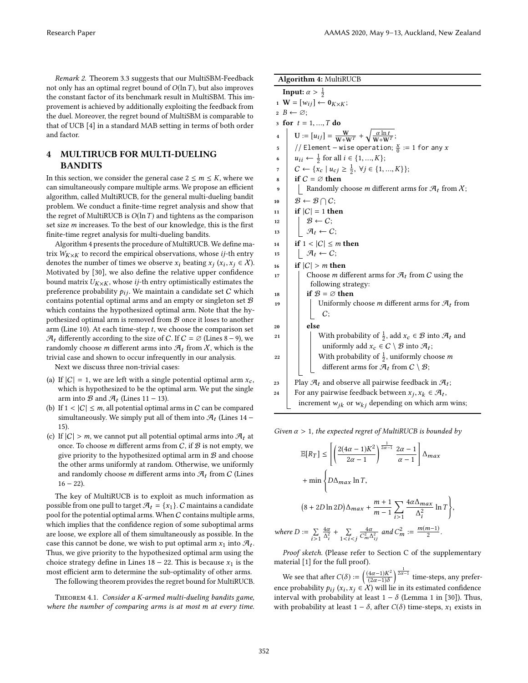Remark 2. Theorem [3.3](#page-3-2) suggests that our MultiSBM-Feedback not only has an optimal regret bound of  $O(\ln T)$ , but also improves the constant factor of its benchmark result in MultiSBM. This improvement is achieved by additionally exploiting the feedback from the duel. Moreover, the regret bound of MultiSBM is comparable to that of UCB [\[4\]](#page-8-1) in a standard MAB setting in terms of both order and factor.

# 4 MULTIRUCB FOR MULTI-DUELING BANDITS

In this section, we consider the general case  $2 \le m \le K$ , where we can simultaneously compare multiple arms. We propose an efficient algorithm, called MultiRUCB, for the general multi-dueling bandit problem. We conduct a finite-time regret analysis and show that the regret of MultiRUCB is  $O(\ln T)$  and tightens as the comparison set size  $m$  increases. To the best of our knowledge, this is the first finite-time regret analysis for multi-dueling bandits.

Algorithm [4](#page-4-0) presents the procedure of MultiRUCB. We define matrix  $W_{K\times K}$  to record the empirical observations, whose *ij*-th entry denotes the number of times we observe  $x_i$  beating  $x_j$   $(x_i, x_j \in \mathcal{X})$ . Motivated by [\[30\]](#page-8-25), we also define the relative upper confidence bound matrix  $U_{K\times K}$ , whose *ij*-th entry optimistically estimates the preference probability  $p_{ij}$ . We maintain a candidate set C which contains potential optimal arms and an empty or singleton set  $B$ which contains the hypothesized optimal arm. Note that the hypothesized optimal arm is removed from  $B$  once it loses to another arm (Line 10). At each time-step  $t$ , we choose the comparison set  $\mathcal{A}_t$  differently according to the size of C. If  $C = \emptyset$  (Lines 8 – 9), we randomly choose *m* different arms into  $\mathcal{A}_t$  from  $\chi$ , which is the trivial case and shown to occur infrequently in our analysis.

Next we discuss three non-trivial cases:

- (a) If  $|C| = 1$ , we are left with a single potential optimal arm  $x_c$ , which is hypothesized to be the optimal arm. We put the single arm into  $\mathcal{B}$  and  $\mathcal{A}_t$  (Lines 11 – 13).
- (b) If  $1 < |C| \le m$ , all potential optimal arms in C can be compared simultaneously. We simply put all of them into  $\mathcal{A}_t$  (Lines 14 – 15).
- (c) If  $|C| > m$ , we cannot put all potential optimal arms into  $\mathcal{A}_t$  at once. To choose m different arms from  $C$ , if  $B$  is not empty, we give priority to the hypothesized optimal arm in  $B$  and choose the other arms uniformly at random. Otherwise, we uniformly and randomly choose m different arms into  $\mathcal{A}_t$  from C (Lines  $16 - 22$ ).

The key of MultiRUCB is to exploit as much information as possible from one pull to target  $\mathcal{A}_t = \{x_1\}$ . C maintains a candidate pool for the potential optimal arms. When  $C$  contains multiple arms, which implies that the confidence region of some suboptimal arms are loose, we explore all of them simultaneously as possible. In the case this cannot be done, we wish to put optimal arm  $x_1$  into  $\mathcal{A}_t$ . Thus, we give priority to the hypothesized optimal arm using the choice strategy define in Lines  $18 - 22$ . This is because  $x_1$  is the most efficient arm to determine the sub-optimality of other arms.

The following theorem provides the regret bound for MultiRUCB.

<span id="page-4-1"></span>Theorem 4.1. Consider a K-armed multi-dueling bandits game, where the number of comparing arms is at most m at every time.

<span id="page-4-0"></span>

| Algorithm 4: MultiRUCB |                                                                                                                                  |  |
|------------------------|----------------------------------------------------------------------------------------------------------------------------------|--|
|                        | <b>Input:</b> $\alpha > \frac{1}{2}$                                                                                             |  |
|                        | $\mathbf{u} \cdot \mathbf{W} = [w_{ij}] \leftarrow \mathbf{0}_{K \times K};$                                                     |  |
|                        | $2 B \leftarrow \varnothing$                                                                                                     |  |
| 3                      | for $t = 1, , T$ do                                                                                                              |  |
| 4                      | $\mathbf{U} := [u_{ij}] = \frac{\mathbf{W}}{\mathbf{W} + \mathbf{W}^T} + \sqrt{\frac{\alpha \ln t}{\mathbf{W} + \mathbf{W}^T}};$ |  |
| 5                      | // Element – wise operation; $\frac{x}{0}$ := 1 for any x                                                                        |  |
| 6                      | $u_{ii} \leftarrow \frac{1}{2}$ for all $i \in \{1, , K\};$                                                                      |  |
| 7                      | $C \leftarrow \{x_c \mid u_{cj} \geq \frac{1}{2}, \forall j \in \{1, , K\}\};$                                                   |  |
| 8                      | if $C = \emptyset$ then                                                                                                          |  |
| 9                      | Randomly choose <i>m</i> different arms for $\mathcal{A}_t$ from $\chi$ ;                                                        |  |
| 10                     | $\mathcal{B} \leftarrow \mathcal{B} \cap C$                                                                                      |  |
| 11                     | if $ C  = 1$ then                                                                                                                |  |
| 12                     | $\left  \begin{array}{c} \mathcal{B} \leftarrow C; \\ \mathcal{A}_t \leftarrow C; \end{array} \right.$                           |  |
| 13                     |                                                                                                                                  |  |
| 14                     | if $1 <  C  \leq m$ then                                                                                                         |  |
| 15                     | $  \mathcal{A}_t \leftarrow C;$                                                                                                  |  |
| 16                     | if $ C  > m$ then                                                                                                                |  |
| 17                     | Choose <i>m</i> different arms for $\mathcal{A}_t$ from C using the                                                              |  |
|                        | following strategy:                                                                                                              |  |
| 18                     | if $\mathcal{B} = \varnothing$ then                                                                                              |  |
| 19                     | Uniformly choose m different arms for $\mathcal{A}_t$ from                                                                       |  |
|                        | C:                                                                                                                               |  |
| 20                     | else                                                                                                                             |  |
| 21                     | With probability of $\frac{1}{2}$ , add $x_c \in \mathcal{B}$ into $\mathcal{A}_t$ and                                           |  |
|                        | uniformly add $x_c \in C \setminus B$ into $\mathcal{A}_t$ ;                                                                     |  |
| 22                     | With probability of $\frac{1}{2}$ , uniformly choose <i>m</i>                                                                    |  |
|                        | different arms for $\mathcal{A}_t$ from $C \setminus \mathcal{B}$ ;                                                              |  |
| 23                     | Play $\mathcal{A}_t$ and observe all pairwise feedback in $\mathcal{A}_t$ ;                                                      |  |

Given  $\alpha > 1$ , the expected regret of MultiRUCB is bounded by

increment  $w_{jk}$  or  $w_{kj}$  depending on which arm wins;

24 For any pairwise feedback between  $x_j, x_k \in \mathcal{A}_t$ ,

$$
\mathbb{E}[R_T] \le \left[ \left( \frac{2(4\alpha - 1)K^2}{2\alpha - 1} \right)^{\frac{1}{2\alpha - 1}} \frac{2\alpha - 1}{\alpha - 1} \right] \Delta_{max}
$$
  
+ min $\left\{ D\Delta_{max} \ln T, \right\}$   

$$
(8 + 2D \ln 2D) \Delta_{max} + \frac{m + 1}{m - 1} \sum_{i > 1} \frac{4\alpha \Delta_{max}}{\Delta_i^2} \ln T \right\},
$$
  

$$
e D := \sum_{i > 1} \frac{4\alpha}{\Delta_i^2} + \sum_{1 < i < j} \frac{4\alpha}{C_m^2 \Delta_{ij}^2} \text{ and } C_m^2 := \frac{m(m - 1)}{2}.
$$

Proof sketch. (Please refer to Section C of the supplementary material [\[1\]](#page-8-24) for the full proof).

We see that after  $C(\delta) := \left(\frac{(4\alpha - 1)K^2}{(2\alpha - 1)\delta}\right)$  $\overline{(2\alpha-1)\delta}$  $\int_{0}^{\frac{1}{2\alpha-1}}$  time-steps, any preference probability  $p_{ij}$  ( $x_i, x_j \in \mathcal{X}$ ) will lie in its estimated confidence interval with probability at least  $1 - \delta$  (Lemma 1 in [\[30\]](#page-8-25)). Thus, with probability at least  $1 - \delta$ , after  $C(\delta)$  time-steps,  $x_1$  exists in

 $where$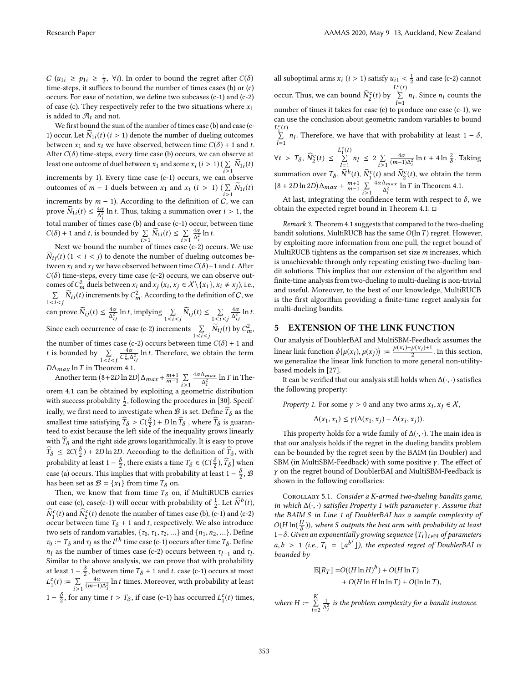$C(u_{1i} \ge p_{1i} \ge \frac{1}{2}, \forall i$ ). In order to bound the regret after  $C(\delta)$ time-steps, it suffices to bound the number of times cases (b) or  $(c)$ occurs. For ease of notation, we define two subcases  $(c-1)$  and  $(c-2)$ of case (c). They respectively refer to the two situations where  $x_1$ is added to  $\mathcal{A}_t$  and not.

We first bound the sum of the number of times case (b) and case (c-1) occur. Let  $N_{1i}(t)$   $(i > 1)$  denote the number of dueling outcomes between  $x_1$  and  $x_i$  we have observed, between time  $C(\delta) + 1$  and t. After  $C(\delta)$  time-steps, every time case (b) occurs, we can observe at least one outcome of duel between  $x_1$  and some  $x_i$   $(i > 1)$  ( $\sum_{i \geq 1} \widetilde{N}_{1i}(t)$ i>1 increments by 1). Every time case (c-1) occurs, we can observe outcomes of  $m - 1$  duels between  $x_1$  and  $x_i$  ( $i > 1$ ) ( $\sum$  $\sum_{i>1} N_{1i}(t)$ increments by  $m - 1$ ). According to the definition of C, we can prove  $\widetilde{N}_{1i}(t) \leq \frac{4\alpha}{\Delta_i^2} \ln t$ . Thus, taking a summation over  $i > 1$ , the total number of times case (b) and case (c-1) occur, between time  $C(\delta) + 1$  and t, is bounded by  $\sum_{i>1} \widetilde{N}_{1i}(t) \leq \sum_{i>1}$  $\frac{4\alpha}{\Delta_i^2}$  ln t.

Next we bound the number of times case (c-2) occurs. We use  $\widetilde{N}_{ij}(t)$  (1 < *i* < *j*) to denote the number of dueling outcomes between  $x_i$  and  $x_j$  we have observed between time  $C(\delta)$ +1 and t. After  $C(\delta)$  time-steps, every time case (c-2) occurs, we can observe outcomes of  $C_m^2$  duels between  $x_i$  and  $x_j$   $(x_i, x_j \in \mathcal{X} \setminus \{x_1\}, x_i \neq x_j)$ , i.e.,  $\sum$  $\sum_{1 \leq i \leq j} \widetilde{N}_{ij}(t)$  increments by  $C_m^2$ . According to the definition of C, we can prove  $\widetilde{N}_{ij}(t) \leq \frac{4\alpha}{\Delta_{ij}^2} \ln t$ , implying  $\sum_{1 \leq i \leq j} \widetilde{N}_{ij}(t) \leq \sum_{1 \leq i \leq j}$  $\frac{4\alpha}{\Delta_{ij}^2}$  ln t. Since each occurrence of case (c-2) increments  $\sum_{1 \le i \le j} \widetilde{N}_{ij}(t)$  by  $C_m^2$ , the number of times case (c-2) occurs between time  $C(\delta) + 1$  and *t* is bounded by  $\sum_{1 \leq i \leq j}$  $\frac{4\alpha}{C_m^2 \Delta_{ij}^2}$  ln  $t$ . Therefore, we obtain the term  $D\Delta_{max}$  ln T in Theorem [4.1.](#page-4-1)

Another term  $(8+2D\ln 2D)\Delta_{max} + \frac{m+1}{m-1}\sum_{i=1}^{m}$  $i > 1$  $\frac{4\alpha\Delta_{max}}{\Delta_i^2}$  ln *T* in Theorem [4.1](#page-4-1) can be obtained by exploiting a geometric distribution with success probability  $\frac{1}{2}$ , following the procedures in [\[30\]](#page-8-25). Specifically, we first need to investigate when  $\mathcal B$  is set. Define  $\widetilde T_{\delta}$  as the smallest time satisfying  $\widehat{T}_\delta > C(\frac{\delta}{2}) + D \ln \widehat{T}_\delta$  , where  $\widehat{T}_\delta$  is guaranteed to exist because the left side of the inequality grows linearly with  $\widehat{T}_{\delta}$  and the right side grows logarithmically. It is easy to prove  $\widehat{T}_{\delta} \leq 2C(\frac{\delta}{2}) + 2D \ln 2D$ . According to the definition of  $\widehat{T}_{\delta}$ , with probability at least 1 –  $\frac{\delta}{2}$ , there exists a time  $T_{\delta} \in (C(\frac{\delta}{2}), \widehat{T}_{\delta}]$  when case (a) occurs. This implies that with probability at least 1 –  $\frac{\delta}{2}$ ,  $\mathcal{B}$ has been set as  $\mathcal{B} = \{x_1\}$  from time  $T_\delta$  on.

Then, we know that from time  $T_{\delta}$  on, if MultiRUCB carries out case (c), case(c-1) will occur with probability of  $\frac{1}{2}$ . Let  $\widehat{N}^b(t)$ ,  $\widehat{N}_1^c(t)$  and  $\widehat{N}_2^c(t)$  denote the number of times case (b), (c-1) and (c-2) occur between time  $T_{\delta}$  + 1 and t, respectively. We also introduce two sets of random variables,  $\{\tau_0,\tau_1,\tau_2,\ldots\}$  and  $\{n_1,n_2,\ldots\}.$  Define  $\tau_0 := T_\delta$  and  $\tau_l$  as the  $l^{th}$  time case (c-1) occurs after time  $T_\delta.$  Define  $n_l$  as the number of times case (c-2) occurs between  $\tau_{l-1}$  and  $\tau_l$ . Similar to the above analysis, we can prove that with probability at least 1 –  $\frac{\delta}{2}$ , between time  $T_{\delta}$  + 1 and *t*, case (c-1) occurs at most  $L_1^c(t) := \sum_{i \geq 0}$  $i > 1$  $\frac{4\alpha}{(m-1)\Delta_i^2}$  ln *t* times. Moreover, with probability at least 1 –  $\frac{\delta}{2}$ , for any time  $t > T_{\delta}$ , if case (c-1) has occurred  $L_1^c(t)$  times,

all suboptimal arms  $x_i$   $(i > 1)$  satisfy  $u_{i1} < \frac{1}{2}$  and case (c-2) cannot occur. Thus, we can bound  $\widehat{N}_2^c(t)$  by  $L_1^c(t)$  $\sum_{l=1}^{\infty} n_l$ . Since  $n_l$  counts the number of times it takes for case (c) to produce one case (c-1), we can use the conclusion about geometric random variables to bound  $L_1^c(t)$ 

 $\sum_{l=1}$  *n*<sub>*l*</sub>. Therefore, we have that with probability at least 1 –  $\delta$ ,

 $\forall t > T_{\delta}, \ \widehat{N}_2^c(t) \leq$  $L_1^c(t)$  $\sum_{l=1}^n n_l \leq 2 \sum_{i>1}$  $i > 1$  $\frac{4\alpha}{(m-1)\Delta_i^2} \ln t + 4 \ln \frac{2}{\delta}$ . Taking summation over  $T_{\delta}$ ,  $\widehat{N}^b(t)$ ,  $\widehat{N}_1^c(t)$  and  $\widehat{N}_2^c(t)$ , we obtain the term  $(8 + 2D \ln 2D) \Delta_{max} + \frac{m+1}{m-1} \sum_{n=1}^{n}$  $i > 1$  $\frac{4\alpha\Delta_{max}}{\Delta_i^2}$  ln T in Theorem [4.1.](#page-4-1)

At last, integrating the confidence term with respect to  $\delta$ , we obtain the expected regret bound in Theorem [4.1.](#page-4-1) □

Remark 3. Theorem [4.1](#page-4-1) suggests that compared to the two-dueling bandit solutions, MultiRUCB has the same  $O(\ln T)$  regret. However, by exploiting more information from one pull, the regret bound of MultiRUCB tightens as the comparison set size  $m$  increases, which is unachievable through only repeating existing two-dueling bandit solutions. This implies that our extension of the algorithm and finite-time analysis from two-dueling to multi-dueling is non-trivial and useful. Moreover, to the best of our knowledge, MultiRUCB is the first algorithm providing a finite-time regret analysis for multi-dueling bandits.

# <span id="page-5-0"></span>5 EXTENSION OF THE LINK FUNCTION

Our analysis of DoublerBAI and MultiSBM-Feedback assumes the linear link function  $\phi(\mu(x_i), \mu(x_j)) := \frac{\mu(x_i) - \mu(x_j) + 1}{2}$ . In this section, we generalize the linear link function to more general non-utilitybased models in [\[27\]](#page-8-6).

It can be verified that our analysis still holds when  $\Delta(\cdot, \cdot)$  satisfies the following property:

*Property 1.* For some  $\gamma > 0$  and any two arms  $x_i, x_j \in \mathcal{X}$ ,

$$
\Delta(x_1, x_i) \le \gamma(\Delta(x_1, x_j) - \Delta(x_i, x_j)).
$$

This property holds for a wide family of  $\Delta(\cdot, \cdot)$ . The main idea is that our analysis holds if the regret in the dueling bandits problem can be bounded by the regret seen by the BAIM (in Doubler) and SBM (in MultiSBM-Feedback) with some positive γ. The effect of γ on the regret bound of DoublerBAI and MultiSBM-Feedback is shown in the following corollaries:

COROLLARY 5.1. Consider a K-armed two-dueling bandits game, in which  $\Delta(\cdot, \cdot)$  satisfies Property 1 with parameter  $\gamma$ . Assume that the BAIM S in Line 1 of DoublerBAI has a sample complexity of  $O(H \ln(\frac{H}{\delta}))$ , where S outputs the best arm with probability at least 1− $\delta$ . Given an exponentially growing sequence  $\{T_i\}_{i \in \mathbb{N}}$  of parameters  $a, b > 1$  (i.e.,  $T_i = \lfloor a^{b^i} \rfloor$ ), the expected regret of DoublerBAI is bounded by

$$
\mathbb{E}[R_T] = O((H \ln H)^b) + O(H \ln T)
$$
  
+ O(H \ln H \ln \ln T) + O(\ln \ln T),

where  $H := \sum_{i=1}^{K}$  $i=2$  $\frac{1}{\Delta_i^2}$  is the problem complexity for a bandit instance.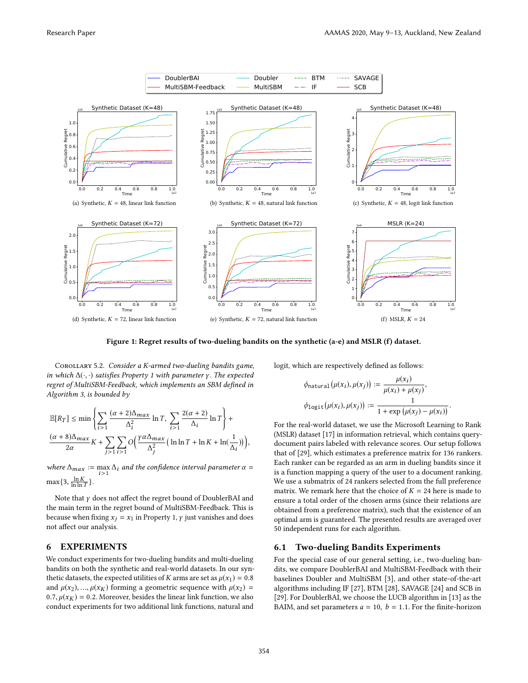<span id="page-6-0"></span>

Figure 1: Regret results of two-dueling bandits on the synthetic (a-e) and MSLR (f) dataset.

COROLLARY 5.2. Consider a K-armed two-dueling bandits game, in which  $\Delta(\cdot, \cdot)$  satisfies Property 1 with parameter γ. The expected regret of MultiSBM-Feedback, which implements an SBM defined in Algorithm [3,](#page-3-1) is bounded by

$$
\begin{split} \mathbb{E}[R_{T}] &\leq \min\left\{\sum_{i>1}\frac{(\alpha+2)\Delta_{max}}{\Delta_{i}^{2}}\ln T,\ \sum_{i>1}\frac{2(\alpha+2)}{\Delta_{i}}\ln T\right\}+\\ &\frac{(\alpha+8)\Delta_{max}}{2\alpha}K+\sum_{j>1}\sum_{i>1}\mathcal{O}\Big(\frac{\gamma\alpha\Delta_{max}}{\Delta_{j}^{2}}\big(\ln\ln T+\ln K+\ln(\frac{1}{\Delta_{i}})\big)\Big), \end{split}
$$

where  $\Delta_{max} := \max_{i>1} \Delta_i$  and the confidence interval parameter  $\alpha =$  $\max\{3, \frac{\ln K}{\ln \ln T}\}.$ 

Note that  $\gamma$  does not affect the regret bound of DoublerBAI and the main term in the regret bound of MultiSBM-Feedback. This is because when fixing  $x_j = x_1$  in Property 1,  $\gamma$  just vanishes and does not afect our analysis.

### 6 EXPERIMENTS

We conduct experiments for two-dueling bandits and multi-dueling bandits on both the synthetic and real-world datasets. In our synthetic datasets, the expected utilities of K arms are set as  $\mu(x_1) = 0.8$ and  $\mu(x_2), ..., \mu(x_K)$  forming a geometric sequence with  $\mu(x_2)$  = 0.7,  $\mu(x_K) = 0.2$ . Moreover, besides the linear link function, we also conduct experiments for two additional link functions, natural and

logit, which are respectively defined as follows:

$$
\phi_{\text{natural}}(\mu(x_i), \mu(x_j)) := \frac{\mu(x_i)}{\mu(x_i) + \mu(x_j)},
$$

$$
\phi_{\text{logit}}(\mu(x_i), \mu(x_j)) := \frac{1}{1 + \exp(\mu(x_j) - \mu(x_i))}.
$$

For the real-world dataset, we use the Microsoft Learning to Rank (MSLR) dataset [\[17\]](#page-8-20) in information retrieval, which contains querydocument pairs labeled with relevance scores. Our setup follows that of [\[29\]](#page-8-26), which estimates a preference matrix for 136 rankers. Each ranker can be regarded as an arm in dueling bandits since it is a function mapping a query of the user to a document ranking. We use a submatrix of 24 rankers selected from the full preference matrix. We remark here that the choice of  $K = 24$  here is made to ensure a total order of the chosen arms (since their relations are obtained from a preference matrix), such that the existence of an optimal arm is guaranteed. The presented results are averaged over 50 independent runs for each algorithm.

# 6.1 Two-dueling Bandits Experiments

For the special case of our general setting, i.e., two-dueling bandits, we compare DoublerBAI and MultiSBM-Feedback with their baselines Doubler and MultiSBM [\[3\]](#page-8-19), and other state-of-the-art algorithms including IF [\[27\]](#page-8-6), BTM [\[28\]](#page-8-27), SAVAGE [\[24\]](#page-8-28) and SCB in [\[29\]](#page-8-26). For DoublerBAI, we choose the LUCB algorithm in [\[13\]](#page-8-21) as the BAIM, and set parameters  $a = 10$ ,  $b = 1.1$ . For the finite-horizon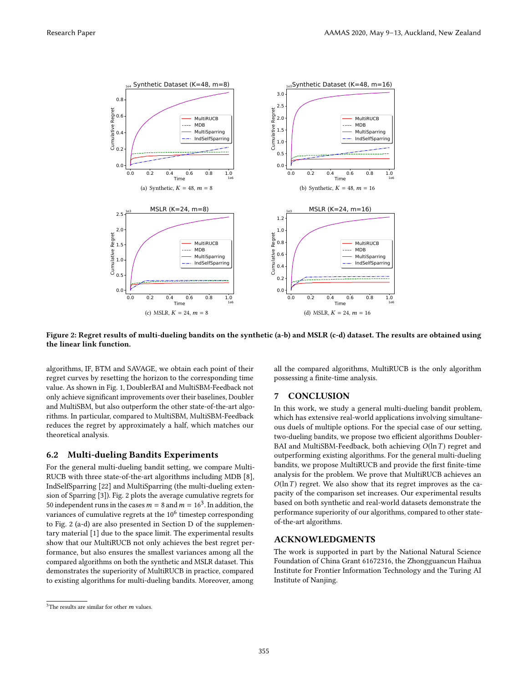<span id="page-7-0"></span>

Figure 2: Regret results of multi-dueling bandits on the synthetic (a-b) and MSLR (c-d) dataset. The results are obtained using the linear link function.

algorithms, IF, BTM and SAVAGE, we obtain each point of their regret curves by resetting the horizon to the corresponding time value. As shown in Fig. [1,](#page-6-0) DoublerBAI and MultiSBM-Feedback not only achieve signiicant improvements over their baselines, Doubler and MultiSBM, but also outperform the other state-of-the-art algorithms. In particular, compared to MultiSBM, MultiSBM-Feedback reduces the regret by approximately a half, which matches our theoretical analysis.

## 6.2 Multi-dueling Bandits Experiments

For the general multi-dueling bandit setting, we compare Multi-RUCB with three state-of-the-art algorithms including MDB [\[8\]](#page-8-8), IndSelfSparring [\[22\]](#page-8-9) and MultiSparring (the multi-dueling extension of Sparring [\[3\]](#page-8-19)). Fig. [2](#page-7-0) plots the average cumulative regrets for 50 independent runs in the cases  $m = 8$  and  $m = 16<sup>3</sup>$  $m = 16<sup>3</sup>$  $m = 16<sup>3</sup>$ . In addition, the variances of cumulative regrets at the  $10^6$  timestep corresponding to Fig. [2](#page-7-0) (a-d) are also presented in Section D of the supplementary material [\[1\]](#page-8-24) due to the space limit. The experimental results show that our MultiRUCB not only achieves the best regret performance, but also ensures the smallest variances among all the compared algorithms on both the synthetic and MSLR dataset. This demonstrates the superiority of MultiRUCB in practice, compared to existing algorithms for multi-dueling bandits. Moreover, among

all the compared algorithms, MultiRUCB is the only algorithm possessing a finite-time analysis.

#### 7 CONCLUSION

In this work, we study a general multi-dueling bandit problem, which has extensive real-world applications involving simultaneous duels of multiple options. For the special case of our setting, two-dueling bandits, we propose two efficient algorithms Doubler-BAI and MultiSBM-Feedback, both achieving  $O(\ln T)$  regret and outperforming existing algorithms. For the general multi-dueling bandits, we propose MultiRUCB and provide the first finite-time analysis for the problem. We prove that MultiRUCB achieves an  $O(\ln T)$  regret. We also show that its regret improves as the capacity of the comparison set increases. Our experimental results based on both synthetic and real-world datasets demonstrate the performance superiority of our algorithms, compared to other stateof-the-art algorithms.

# ACKNOWLEDGMENTS

The work is supported in part by the National Natural Science Foundation of China Grant 61672316, the Zhongguancun Haihua Institute for Frontier Information Technology and the Turing AI Institute of Nanjing.

 $^3$  The results are similar for other  $\boldsymbol{m}$  values.